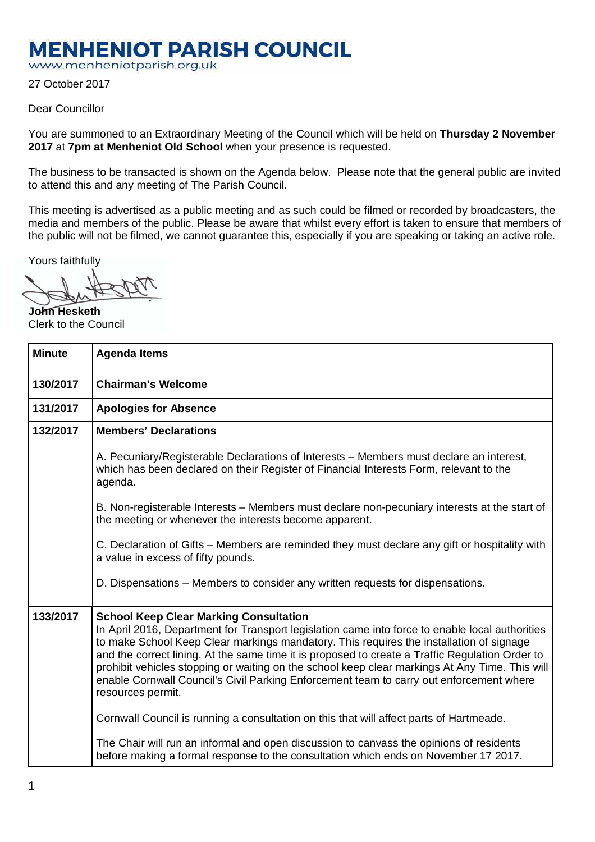## **MENHENIOT PARISH COUNCIL**

www.menheniotparish.org.uk

27 October 2017

## Dear Councillor

You are summoned to an Extraordinary Meeting of the Council which will be held on **Thursday 2 November 2017** at **7pm at Menheniot Old School** when your presence is requested.

The business to be transacted is shown on the Agenda below. Please note that the general public are invited to attend this and any meeting of The Parish Council.

This meeting is advertised as a public meeting and as such could be filmed or recorded by broadcasters, the media and members of the public. Please be aware that whilst every effort is taken to ensure that members of the public will not be filmed, we cannot guarantee this, especially if you are speaking or taking an active role.

Yours faithfully

**John Hesketh**  Clerk to the Council

| <b>Minute</b> | <b>Agenda Items</b>                                                                                                                                                                                                                                                                                                                                                                                                                                                                                                                                                                                                                                         |
|---------------|-------------------------------------------------------------------------------------------------------------------------------------------------------------------------------------------------------------------------------------------------------------------------------------------------------------------------------------------------------------------------------------------------------------------------------------------------------------------------------------------------------------------------------------------------------------------------------------------------------------------------------------------------------------|
| 130/2017      | <b>Chairman's Welcome</b>                                                                                                                                                                                                                                                                                                                                                                                                                                                                                                                                                                                                                                   |
| 131/2017      | <b>Apologies for Absence</b>                                                                                                                                                                                                                                                                                                                                                                                                                                                                                                                                                                                                                                |
| 132/2017      | <b>Members' Declarations</b>                                                                                                                                                                                                                                                                                                                                                                                                                                                                                                                                                                                                                                |
|               | A. Pecuniary/Registerable Declarations of Interests – Members must declare an interest,<br>which has been declared on their Register of Financial Interests Form, relevant to the<br>agenda.                                                                                                                                                                                                                                                                                                                                                                                                                                                                |
|               | B. Non-registerable Interests – Members must declare non-pecuniary interests at the start of<br>the meeting or whenever the interests become apparent.                                                                                                                                                                                                                                                                                                                                                                                                                                                                                                      |
|               | C. Declaration of Gifts – Members are reminded they must declare any gift or hospitality with<br>a value in excess of fifty pounds.                                                                                                                                                                                                                                                                                                                                                                                                                                                                                                                         |
|               | D. Dispensations - Members to consider any written requests for dispensations.                                                                                                                                                                                                                                                                                                                                                                                                                                                                                                                                                                              |
| 133/2017      | <b>School Keep Clear Marking Consultation</b><br>In April 2016, Department for Transport legislation came into force to enable local authorities<br>to make School Keep Clear markings mandatory. This requires the installation of signage<br>and the correct lining. At the same time it is proposed to create a Traffic Regulation Order to<br>prohibit vehicles stopping or waiting on the school keep clear markings At Any Time. This will<br>enable Cornwall Council's Civil Parking Enforcement team to carry out enforcement where<br>resources permit.<br>Cornwall Council is running a consultation on this that will affect parts of Hartmeade. |
|               | The Chair will run an informal and open discussion to canvass the opinions of residents<br>before making a formal response to the consultation which ends on November 17 2017.                                                                                                                                                                                                                                                                                                                                                                                                                                                                              |